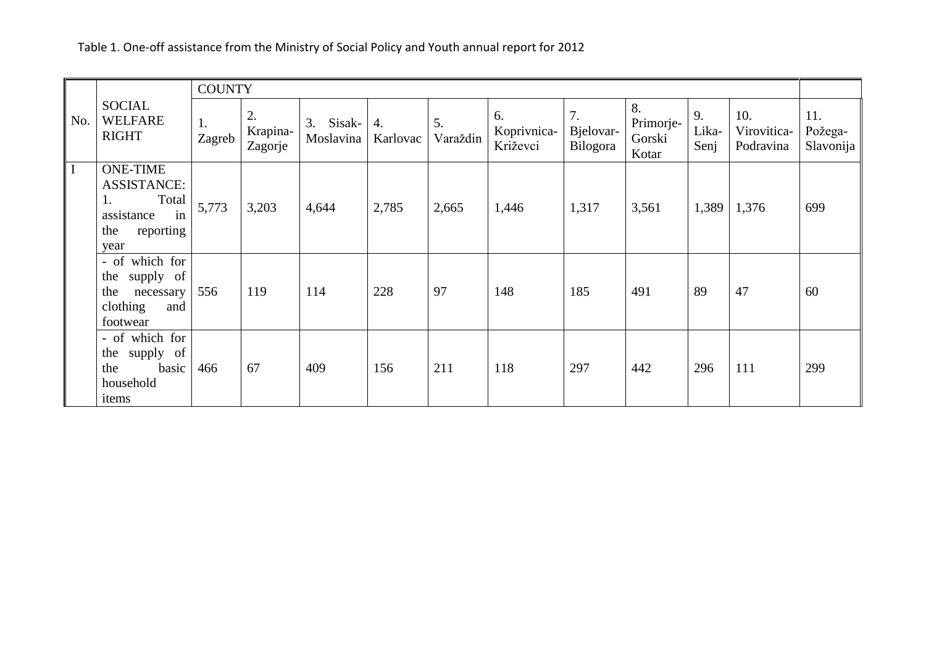|     | <b>SOCIAL</b><br><b>WELFARE</b><br><b>RIGHT</b>                                                      | <b>COUNTY</b> |                           |                        |                |                |                               |                             |                                    |                     |                                 |                             |
|-----|------------------------------------------------------------------------------------------------------|---------------|---------------------------|------------------------|----------------|----------------|-------------------------------|-----------------------------|------------------------------------|---------------------|---------------------------------|-----------------------------|
| No. |                                                                                                      | 1.<br>Zagreb  | 2.<br>Krapina-<br>Zagorje | 3. Sisak-<br>Moslavina | 4.<br>Karlovac | 5.<br>Varaždin | 6.<br>Koprivnica-<br>Križevci | 7.<br>Bjelovar-<br>Bilogora | 8.<br>Primorje-<br>Gorski<br>Kotar | 9.<br>Lika-<br>Senj | 10.<br>Virovitica-<br>Podravina | 11.<br>Požega-<br>Slavonija |
|     | <b>ONE-TIME</b><br><b>ASSISTANCE:</b><br>Total<br>1.<br>assistance<br>in<br>the<br>reporting<br>year | 5,773         | 3,203                     | 4,644                  | 2,785          | 2,665          | 1,446                         | 1,317                       | 3,561                              | 1,389               | 1,376                           | 699                         |
|     | - of which for<br>the supply of<br>the<br>necessary<br>clothing<br>and<br>footwear                   | 556           | 119                       | 114                    | 228            | 97             | 148                           | 185                         | 491                                | 89                  | 47                              | 60                          |
|     | - of which for<br>the supply of<br>basic<br>the<br>household<br>items                                | 466           | 67                        | 409                    | 156            | 211            | 118                           | 297                         | 442                                | 296                 | 111                             | 299                         |